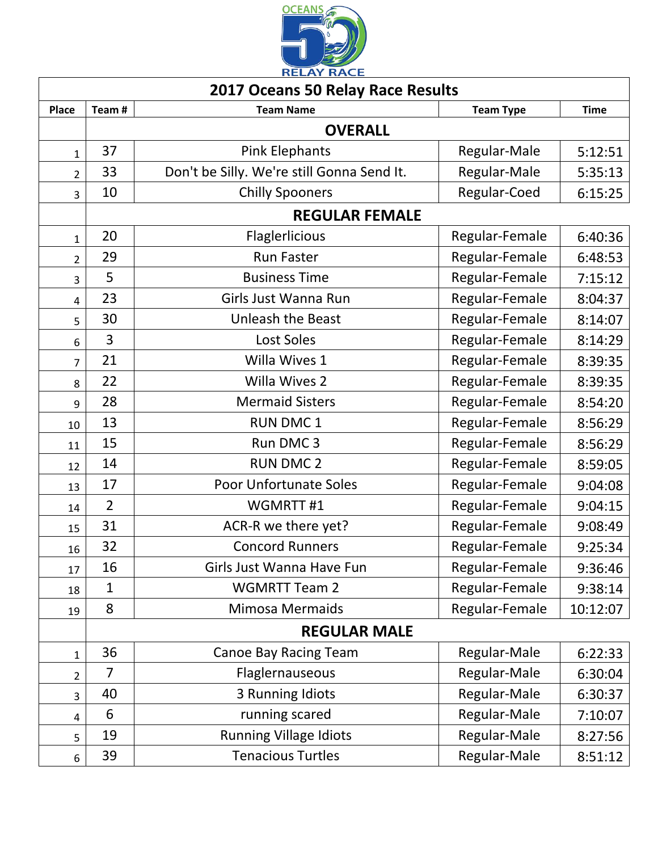

| <b>2017 Oceans 50 Relay Race Results</b> |                     |                                            |                  |             |  |  |  |
|------------------------------------------|---------------------|--------------------------------------------|------------------|-------------|--|--|--|
| <b>Place</b>                             | Team#               | <b>Team Name</b>                           | <b>Team Type</b> | <b>Time</b> |  |  |  |
|                                          | <b>OVERALL</b>      |                                            |                  |             |  |  |  |
| $\mathbf{1}$                             | 37                  | <b>Pink Elephants</b>                      | Regular-Male     | 5:12:51     |  |  |  |
| $\overline{2}$                           | 33                  | Don't be Silly. We're still Gonna Send It. | Regular-Male     | 5:35:13     |  |  |  |
| 3                                        | 10                  | <b>Chilly Spooners</b>                     | Regular-Coed     | 6:15:25     |  |  |  |
|                                          |                     | <b>REGULAR FEMALE</b>                      |                  |             |  |  |  |
| $\mathbf{1}$                             | 20                  | Flaglerlicious                             | Regular-Female   | 6:40:36     |  |  |  |
| $\overline{2}$                           | 29                  | <b>Run Faster</b>                          | Regular-Female   | 6:48:53     |  |  |  |
| 3                                        | 5                   | <b>Business Time</b>                       | Regular-Female   | 7:15:12     |  |  |  |
| $\overline{4}$                           | 23                  | Girls Just Wanna Run                       | Regular-Female   | 8:04:37     |  |  |  |
| 5                                        | 30                  | <b>Unleash the Beast</b>                   | Regular-Female   | 8:14:07     |  |  |  |
| 6                                        | 3                   | <b>Lost Soles</b>                          | Regular-Female   | 8:14:29     |  |  |  |
| 7                                        | 21                  | Willa Wives 1                              | Regular-Female   | 8:39:35     |  |  |  |
| 8                                        | 22                  | <b>Willa Wives 2</b>                       | Regular-Female   | 8:39:35     |  |  |  |
| 9                                        | 28                  | <b>Mermaid Sisters</b>                     | Regular-Female   | 8:54:20     |  |  |  |
| 10                                       | 13                  | <b>RUN DMC1</b>                            | Regular-Female   | 8:56:29     |  |  |  |
| 11                                       | 15                  | Run DMC <sub>3</sub>                       | Regular-Female   | 8:56:29     |  |  |  |
| 12                                       | 14                  | <b>RUN DMC 2</b>                           | Regular-Female   | 8:59:05     |  |  |  |
| 13                                       | 17                  | <b>Poor Unfortunate Soles</b>              | Regular-Female   | 9:04:08     |  |  |  |
| 14                                       | $\overline{2}$      | WGMRTT#1                                   | Regular-Female   | 9:04:15     |  |  |  |
| 15                                       | 31                  | ACR-R we there yet?                        | Regular-Female   | 9:08:49     |  |  |  |
| 16                                       | 32                  | <b>Concord Runners</b>                     | Regular-Female   | 9:25:34     |  |  |  |
| 17                                       | 16                  | Girls Just Wanna Have Fun                  | Regular-Female   | 9:36:46     |  |  |  |
| 18                                       | 1                   | <b>WGMRTT Team 2</b>                       | Regular-Female   | 9:38:14     |  |  |  |
| 19                                       | 8                   | <b>Mimosa Mermaids</b>                     | Regular-Female   | 10:12:07    |  |  |  |
|                                          | <b>REGULAR MALE</b> |                                            |                  |             |  |  |  |
| 1                                        | 36                  | <b>Canoe Bay Racing Team</b>               | Regular-Male     | 6:22:33     |  |  |  |
| $\overline{2}$                           | 7                   | Flaglernauseous                            | Regular-Male     | 6:30:04     |  |  |  |
| 3                                        | 40                  | 3 Running Idiots                           | Regular-Male     | 6:30:37     |  |  |  |
| $\overline{a}$                           | 6                   | running scared                             | Regular-Male     | 7:10:07     |  |  |  |
| 5                                        | 19                  | <b>Running Village Idiots</b>              | Regular-Male     | 8:27:56     |  |  |  |
| 6                                        | 39                  | <b>Tenacious Turtles</b>                   | Regular-Male     | 8:51:12     |  |  |  |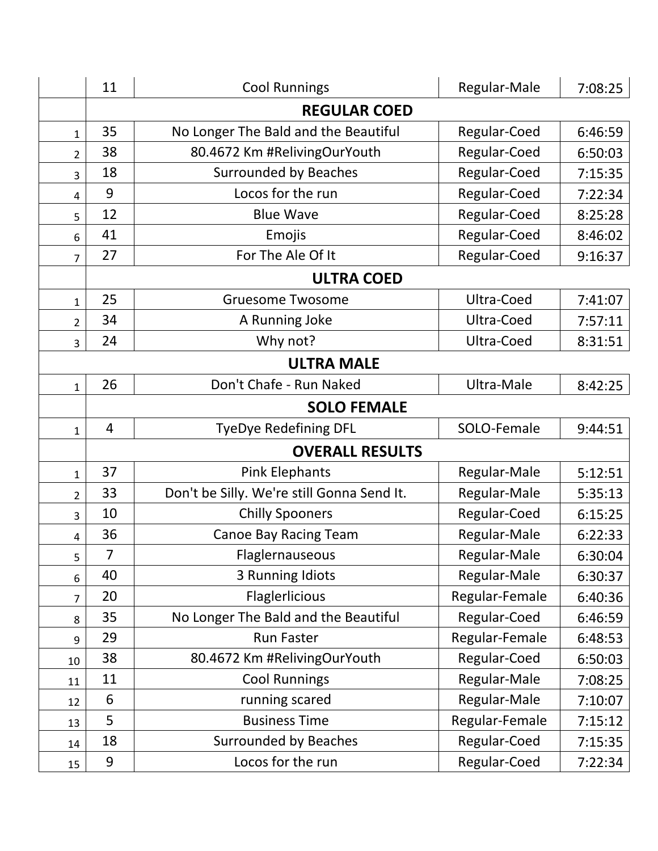|                         | 11                     | <b>Cool Runnings</b>                       | Regular-Male   | 7:08:25 |  |
|-------------------------|------------------------|--------------------------------------------|----------------|---------|--|
|                         |                        | <b>REGULAR COED</b>                        |                |         |  |
| $\mathbf{1}$            | 35                     | No Longer The Bald and the Beautiful       | Regular-Coed   | 6:46:59 |  |
| $\overline{2}$          | 38                     | 80.4672 Km #RelivingOurYouth               | Regular-Coed   | 6:50:03 |  |
| 3                       | 18                     | <b>Surrounded by Beaches</b>               | Regular-Coed   | 7:15:35 |  |
| 4                       | 9                      | Locos for the run                          | Regular-Coed   | 7:22:34 |  |
| 5                       | 12                     | <b>Blue Wave</b>                           | Regular-Coed   | 8:25:28 |  |
| 6                       | 41                     | Emojis                                     | Regular-Coed   | 8:46:02 |  |
| $\overline{7}$          | 27                     | For The Ale Of It                          | Regular-Coed   | 9:16:37 |  |
|                         |                        | <b>ULTRA COED</b>                          |                |         |  |
| $\mathbf{1}$            | 25                     | <b>Gruesome Twosome</b>                    | Ultra-Coed     | 7:41:07 |  |
| $\overline{2}$          | 34                     | A Running Joke                             | Ultra-Coed     | 7:57:11 |  |
| 3                       | 24                     | Why not?                                   | Ultra-Coed     | 8:31:51 |  |
|                         |                        | <b>ULTRA MALE</b>                          |                |         |  |
| $\mathbf{1}$            | 26                     | Don't Chafe - Run Naked                    | Ultra-Male     | 8:42:25 |  |
|                         |                        | <b>SOLO FEMALE</b>                         |                |         |  |
| $\mathbf{1}$            | 4                      | <b>TyeDye Redefining DFL</b>               | SOLO-Female    | 9:44:51 |  |
|                         | <b>OVERALL RESULTS</b> |                                            |                |         |  |
| $\mathbf{1}$            | 37                     | <b>Pink Elephants</b>                      | Regular-Male   | 5:12:51 |  |
| $\overline{2}$          | 33                     | Don't be Silly. We're still Gonna Send It. | Regular-Male   | 5:35:13 |  |
| 3                       | 10                     | <b>Chilly Spooners</b>                     | Regular-Coed   | 6:15:25 |  |
| $\overline{\mathbf{4}}$ | 36                     | <b>Canoe Bay Racing Team</b>               | Regular-Male   | 6:22:33 |  |
| 5                       | $\overline{7}$         | Flaglernauseous                            | Regular-Male   | 6:30:04 |  |
| 6                       | 40                     | 3 Running Idiots                           | Regular-Male   | 6:30:37 |  |
| 7                       | 20                     | Flaglerlicious                             | Regular-Female | 6:40:36 |  |
| 8                       | 35                     | No Longer The Bald and the Beautiful       | Regular-Coed   | 6:46:59 |  |
| 9                       | 29                     | <b>Run Faster</b>                          | Regular-Female | 6:48:53 |  |
| 10                      | 38                     | 80.4672 Km #RelivingOurYouth               | Regular-Coed   | 6:50:03 |  |
| 11                      | 11                     | <b>Cool Runnings</b>                       | Regular-Male   | 7:08:25 |  |
| 12                      | 6                      | running scared                             | Regular-Male   | 7:10:07 |  |
| 13                      | 5                      | <b>Business Time</b>                       | Regular-Female | 7:15:12 |  |
| 14                      | 18                     | <b>Surrounded by Beaches</b>               | Regular-Coed   | 7:15:35 |  |
| 15                      | 9                      | Locos for the run                          | Regular-Coed   | 7:22:34 |  |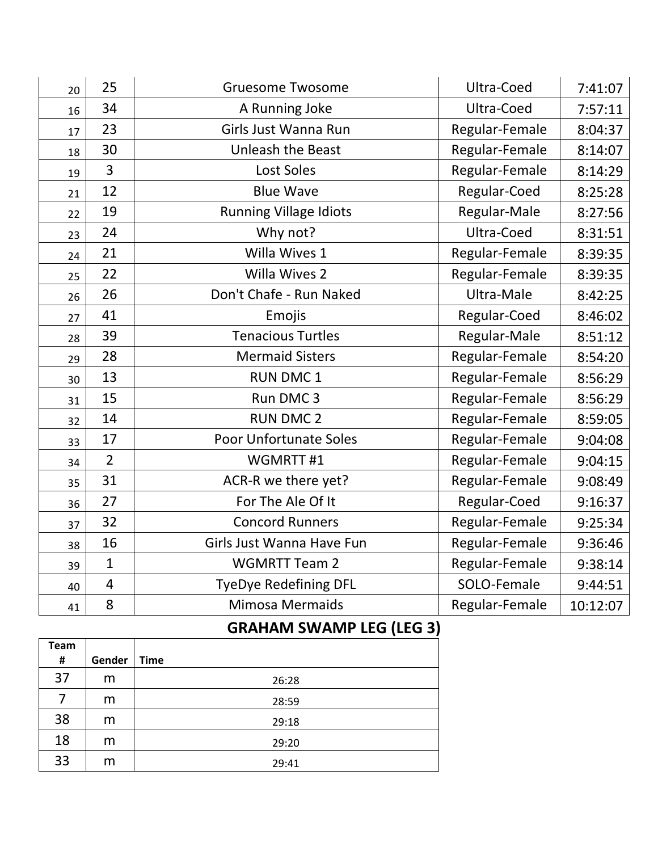| 20 | 25             | <b>Gruesome Twosome</b>       | Ultra-Coed     | 7:41:07  |
|----|----------------|-------------------------------|----------------|----------|
| 16 | 34             | A Running Joke                | Ultra-Coed     | 7:57:11  |
| 17 | 23             | Girls Just Wanna Run          | Regular-Female | 8:04:37  |
| 18 | 30             | <b>Unleash the Beast</b>      | Regular-Female | 8:14:07  |
| 19 | 3              | <b>Lost Soles</b>             | Regular-Female | 8:14:29  |
| 21 | 12             | <b>Blue Wave</b>              | Regular-Coed   | 8:25:28  |
| 22 | 19             | Running Village Idiots        | Regular-Male   | 8:27:56  |
| 23 | 24             | Why not?                      | Ultra-Coed     | 8:31:51  |
| 24 | 21             | Willa Wives 1                 | Regular-Female | 8:39:35  |
| 25 | 22             | <b>Willa Wives 2</b>          | Regular-Female | 8:39:35  |
| 26 | 26             | Don't Chafe - Run Naked       | Ultra-Male     | 8:42:25  |
| 27 | 41             | Emojis                        | Regular-Coed   | 8:46:02  |
| 28 | 39             | <b>Tenacious Turtles</b>      | Regular-Male   | 8:51:12  |
| 29 | 28             | <b>Mermaid Sisters</b>        | Regular-Female | 8:54:20  |
| 30 | 13             | <b>RUN DMC1</b>               | Regular-Female | 8:56:29  |
| 31 | 15             | Run DMC 3                     | Regular-Female | 8:56:29  |
| 32 | 14             | <b>RUN DMC 2</b>              | Regular-Female | 8:59:05  |
| 33 | 17             | <b>Poor Unfortunate Soles</b> | Regular-Female | 9:04:08  |
| 34 | $\overline{2}$ | WGMRTT#1                      | Regular-Female | 9:04:15  |
| 35 | 31             | ACR-R we there yet?           | Regular-Female | 9:08:49  |
| 36 | 27             | For The Ale Of It             | Regular-Coed   | 9:16:37  |
| 37 | 32             | <b>Concord Runners</b>        | Regular-Female | 9:25:34  |
| 38 | 16             | Girls Just Wanna Have Fun     | Regular-Female | 9:36:46  |
| 39 | $\mathbf{1}$   | <b>WGMRTT Team 2</b>          | Regular-Female | 9:38:14  |
| 40 | $\overline{4}$ | <b>TyeDye Redefining DFL</b>  | SOLO-Female    | 9:44:51  |
| 41 | 8              | <b>Mimosa Mermaids</b>        | Regular-Female | 10:12:07 |

## **GRAHAM SWAMP LEG (LEG 3)**

|                  |        | `           |
|------------------|--------|-------------|
| <b>Team</b><br># | Gender | <b>Time</b> |
|                  |        |             |
| 37               | m      | 26:28       |
| 7                | m      | 28:59       |
| 38               | m      | 29:18       |
| 18               | m      | 29:20       |
| 33               | m      | 29:41       |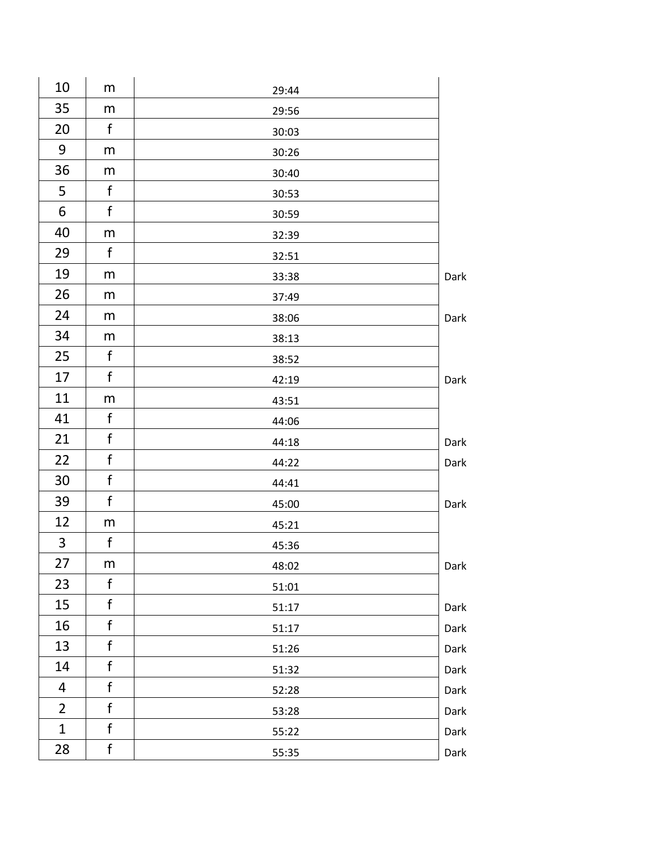| 10             | m            | 29:44 |      |
|----------------|--------------|-------|------|
| 35             | m            | 29:56 |      |
| 20             | f            | 30:03 |      |
| 9              | m            | 30:26 |      |
| 36             | m            | 30:40 |      |
| 5              | f            | 30:53 |      |
| 6              | f            | 30:59 |      |
| 40             | m            | 32:39 |      |
| 29             | f            | 32:51 |      |
| 19             | m            | 33:38 | Dark |
| 26             | m            | 37:49 |      |
| 24             | m            | 38:06 | Dark |
| 34             | m            | 38:13 |      |
| 25             | f            | 38:52 |      |
| 17             | f            | 42:19 | Dark |
| 11             | m            | 43:51 |      |
| 41             | f            | 44:06 |      |
| 21             | f            | 44:18 | Dark |
| 22             | f            | 44:22 | Dark |
| 30             | f            | 44:41 |      |
| 39             | $\mathsf f$  | 45:00 | Dark |
| 12             | m            | 45:21 |      |
| 3              | $\mathsf f$  | 45:36 |      |
| 27             | m            | 48:02 | Dark |
| 23             | f            | 51:01 |      |
| 15             | f            | 51:17 | Dark |
| 16             | f            | 51:17 | Dark |
| 13             | f            | 51:26 | Dark |
| 14             | $\mathsf f$  | 51:32 | Dark |
| 4              | $\mathsf f$  | 52:28 | Dark |
| $\overline{2}$ | $\mathsf{f}$ | 53:28 | Dark |
| $\mathbf{1}$   | f            | 55:22 | Dark |
| 28             | $\mathsf f$  | 55:35 | Dark |